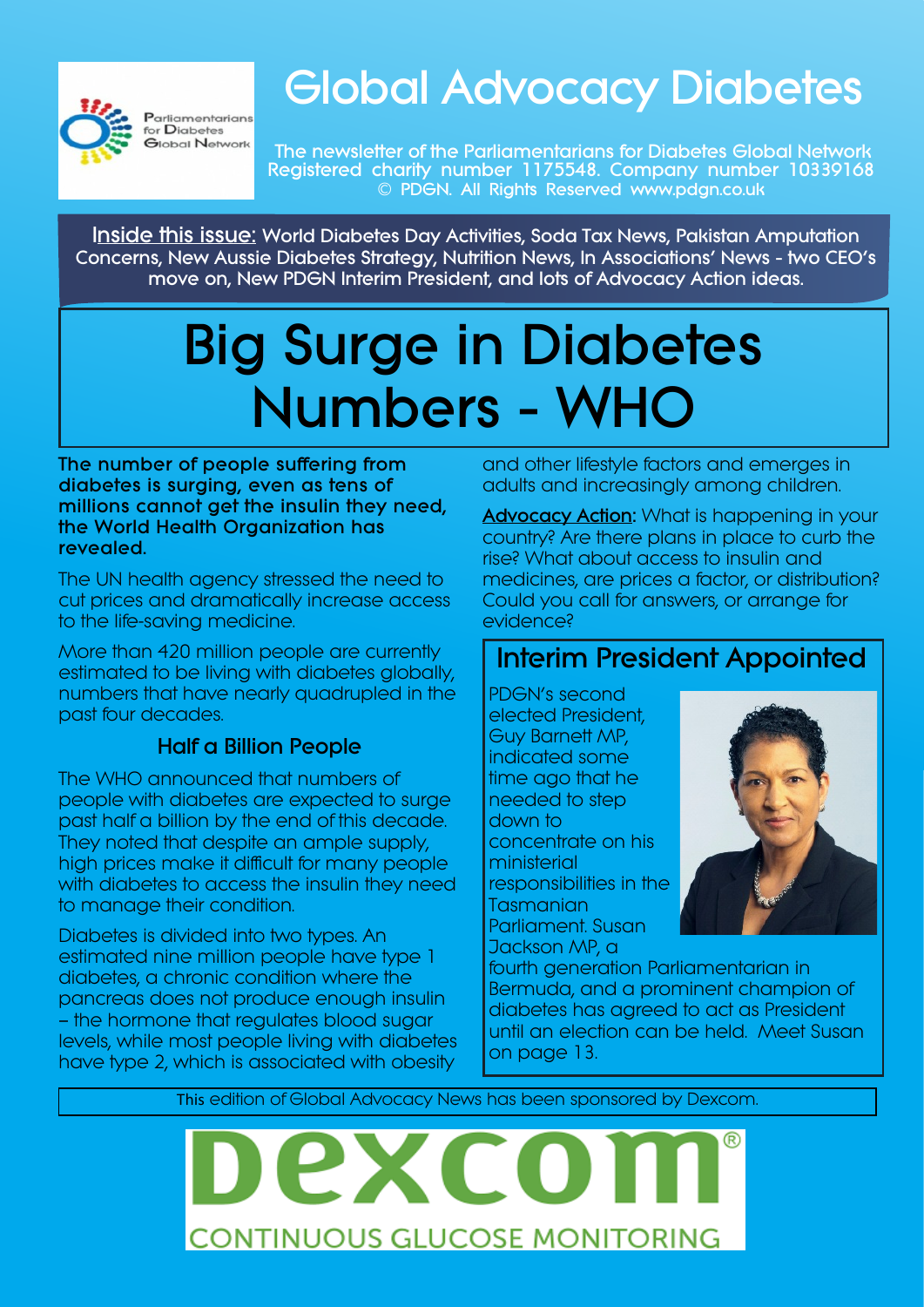

# **Global Advocacy Diabetes**

**The newsletter of the Parliamentarians for Diabetes Global Network Registered charity number 1175548. Company number 10339168 © PDGN. All Rights Reserved www.pdgn.co.uk**

**Inside this issue: World Diabetes Day Activities, Soda Tax News, Pakistan Amputation Concerns, New Aussie Diabetes Strategy, Nutrition News, In Associations' News - two CEO's move on, New PDGN Interim President, and lots of Advocacy Action ideas.**

# **Big Surge in Diabetes Numbers - WHO**

**The number of people suffering from diabetes is surging, even as tens of millions cannot get the insulin they need, the World Health Organization has revealed.**

The UN health agency stressed the need to cut prices and dramatically increase access to the life-saving medicine.

More than 420 million people are currently estimated to be living with diabetes globally, numbers that have nearly quadrupled in the past four decades.

#### **Half a Billion People**

The WHO announced that numbers of people with diabetes are expected to surge past half a billion by the end of this decade. They noted that despite an ample supply, high prices make it difficult for many people with diabetes to access the insulin they need to manage their condition.

Diabetes is divided into two types. An estimated nine million people have type 1 diabetes, a chronic condition where the pancreas does not produce enough insulin — the hormone that regulates blood sugar levels, while most people living with diabetes have type 2, which is associated with obesity

and other lifestyle factors and emerges in adults and increasingly among children.

**Advocacy Action:** What is happening in your country? Are there plans in place to curb the rise? What about access to insulin and medicines, are prices a factor, or distribution? Could you call for answers, or arrange for evidence?

#### **Interim President Appointed**

PDGN's second elected President, Guy Barnett MP, indicated some time ago that he needed to step down to concentrate on his ministerial responsibilities in the Tasmanian Parliament. Susan Jackson MP, a



fourth generation Parliamentarian in Bermuda, and a prominent champion of diabetes has agreed to act as President until an election can be held. Meet Susan on page 13.

This edition of Global Advocacy News has been sponsored by Dexcom.

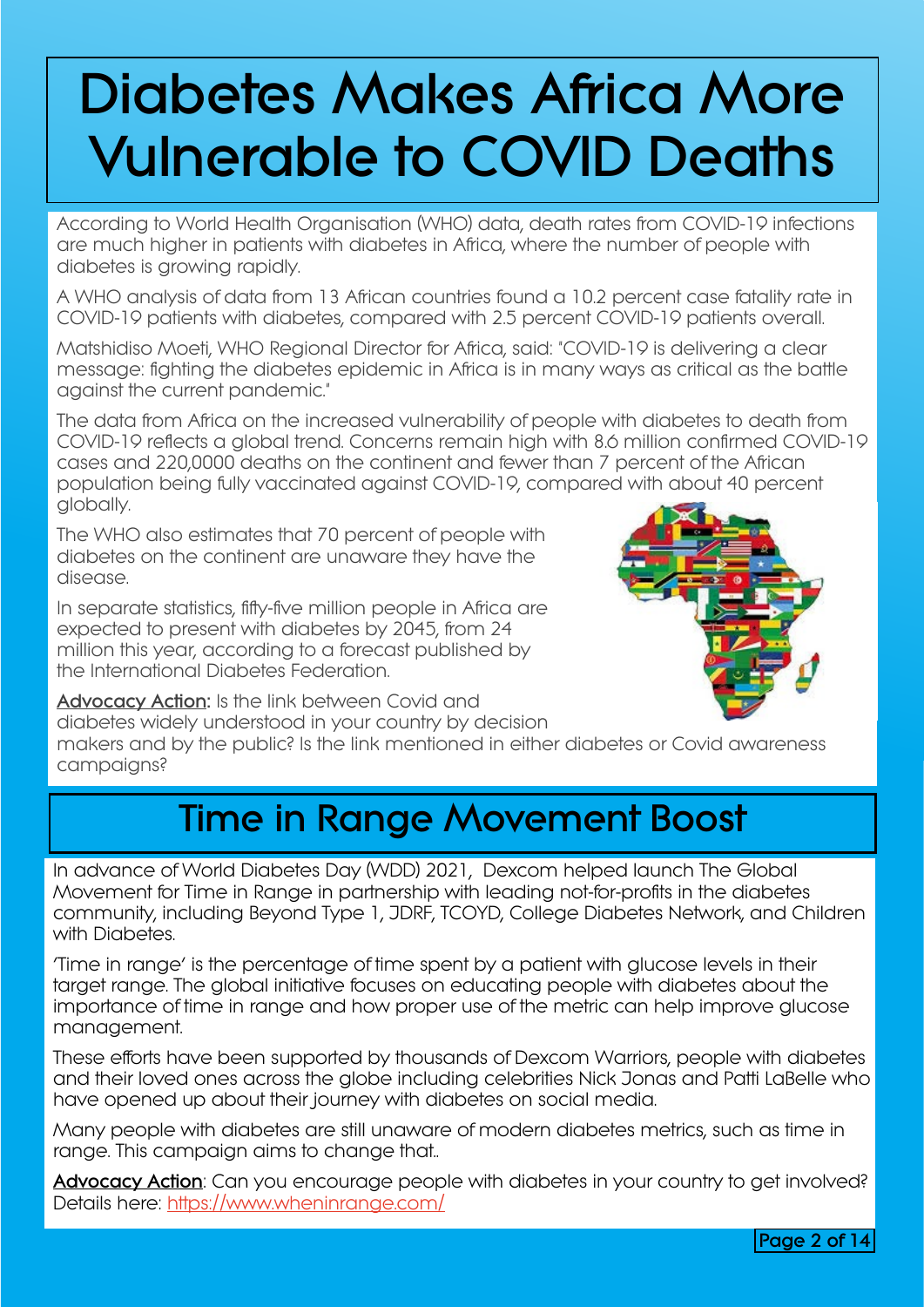# **Diabetes Makes Africa More Vulnerable to COVID Deaths**

According to World Health Organisation (WHO) data, death rates from COVID-19 infections are much higher in patients with diabetes in Africa, where the number of people with diabetes is growing rapidly.

A WHO analysis of data from 13 African countries found a 10.2 percent case fatality rate in COVID-19 patients with diabetes, compared with 2.5 percent COVID-19 patients overall.

Matshidiso Moeti, WHO Regional Director for Africa, said: "COVID-19 is delivering a clear message: fighting the diabetes epidemic in Africa is in many ways as critical as the battle against the current pandemic."

The data from Africa on the increased vulnerability of people with diabetes to death from COVID-19 reflects a global trend. Concerns remain high with 8.6 million confirmed COVID-19 cases and 220,0000 deaths on the continent and fewer than 7 percent of the African population being fully vaccinated against COVID-19, compared with about 40 percent globally.

The WHO also estimates that 70 percent of people with diabetes on the continent are unaware they have the disease.

In separate statistics, fifty-five million people in Africa are expected to present with diabetes by 2045, from 24 million this year, according to a forecast published by the International Diabetes Federation.



**Advocacy Action:** Is the link between Covid and diabetes widely understood in your country by decision makers and by the public? Is the link mentioned in either diabetes or Covid awareness campaigns?

### **Time in Range Movement Boost**

In advance of World Diabetes Day (WDD) 2021, Dexcom helped launch The Global Movement for Time in Range in partnership with leading not-for-profits in the diabetes community, including Beyond Type 1, JDRF, TCOYD, College Diabetes Network, and Children with Diabetes.

'Time in range' is the percentage of time spent by a patient with glucose levels in their taraet range. The global initiative focuses on educating people with diabetes about the importance of time in range and how proper use of the metric can help improve glucose management.

These efforts have been supported by thousands of Dexcom Warriors, people with diabetes and their loved ones across the globe including celebrities Nick Jonas and Patti LaBelle who have opened up about their journey with diabetes on social media.

Many people with diabetes are still unaware of modern diabetes metrics, such as time in range. This campaign aims to change that..

Advocacy Action: Can you encourage people with diabetes in your country to get involved? Details here: <https://www.wheninrange.com/>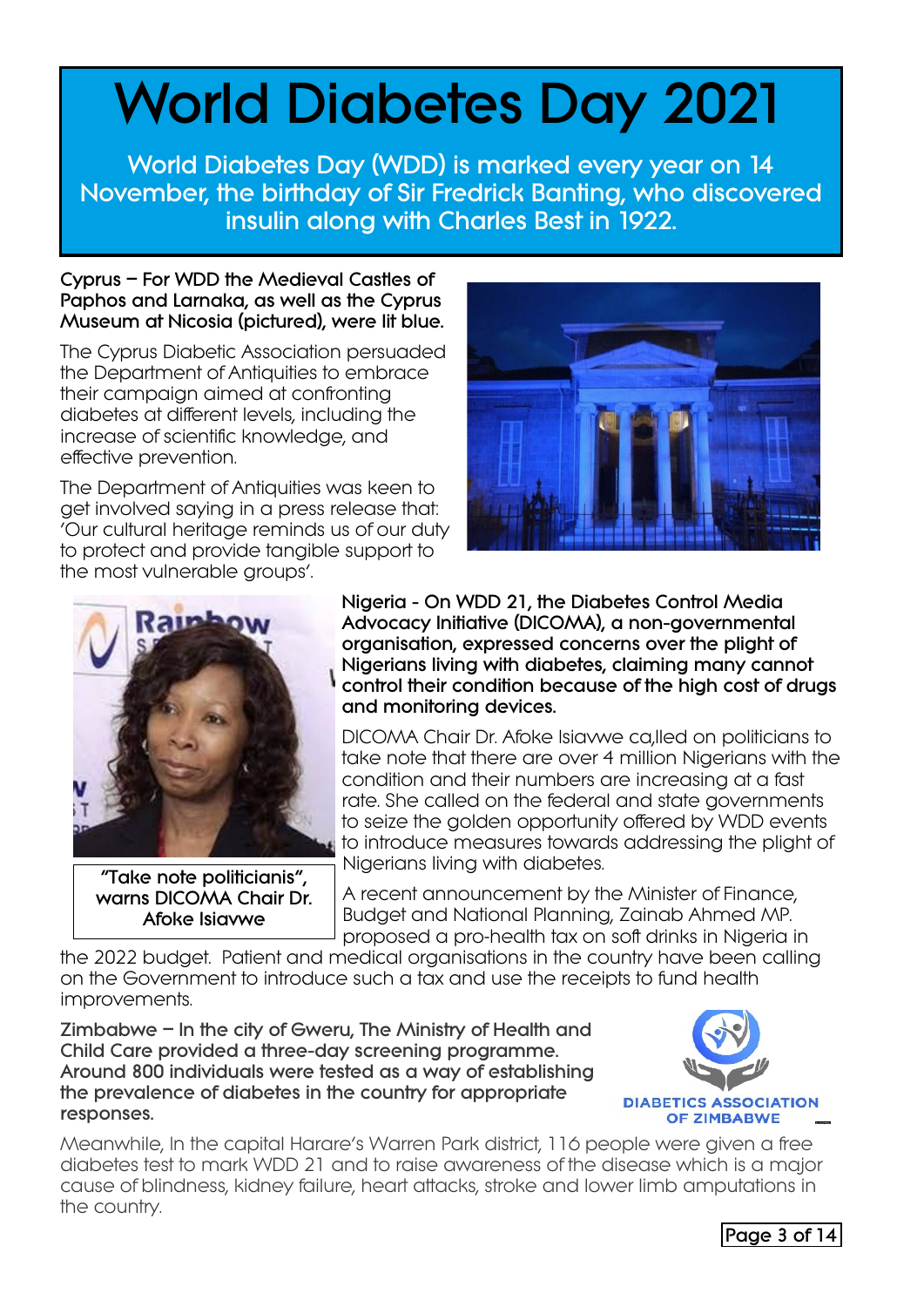# **World Diabetes Day 2021**

**World Diabetes Day (WDD) is marked every year on 14 November, the birthday of Sir Fredrick Banting, who discovered insulin along with Charles Best in 1922.**

#### **Cyprus – For WDD the Medieval Castles of Paphos and Larnaka, as well as the Cyprus Museum at Nicosia (pictured), were lit blue.**

The Cyprus Diabetic Association persuaded the Department of Antiquities to embrace their campaign aimed at confronting diabetes at different levels, including the increase of scientific knowledge, and effective prevention.

The Department of Antiquities was keen to get involved saying in a press release that: 'Our cultural heritage reminds us of our duty to protect and provide tangible support to the most vulnerable groups'.





**"Take note politicianis", warns DICOMA Chair Dr. Afoke Isiavwe**

**Nigeria - On WDD 21, the Diabetes Control Media Advocacy Initiative (DICOMA), a non-governmental organisation, expressed concerns over the plight of Nigerians living with diabetes, claiming many cannot control their condition because of the high cost of drugs and monitoring devices.** 

DICOMA Chair Dr. Afoke Isiavwe ca,lled on politicians to take note that there are over 4 million Nigerians with the condition and their numbers are increasing at a fast rate. She called on the federal and state governments to seize the golden opportunity offered by WDD events to introduce measures towards addressing the plight of Nigerians living with diabetes.

A recent announcement by the Minister of Finance, Budget and National Planning, Zainab Ahmed MP. proposed a pro-health tax on soft drinks in Nigeria in

the 2022 budget. Patient and medical organisations in the country have been calling on the Government to introduce such a tax and use the receipts to fund health improvements.

**Zimbabwe – In the city of Gweru, The Ministry of Health and Child Care provided a three-day screening programme. Around 800 individuals were tested as a way of establishing the prevalence of diabetes in the country for appropriate responses.**



Meanwhile, In the capital Harare's Warren Park district, 116 people were given a free diabetes test to mark WDD 21 and to raise awareness of the disease which is a major cause of blindness, kidney failure, heart attacks, stroke and lower limb amputations in the country.

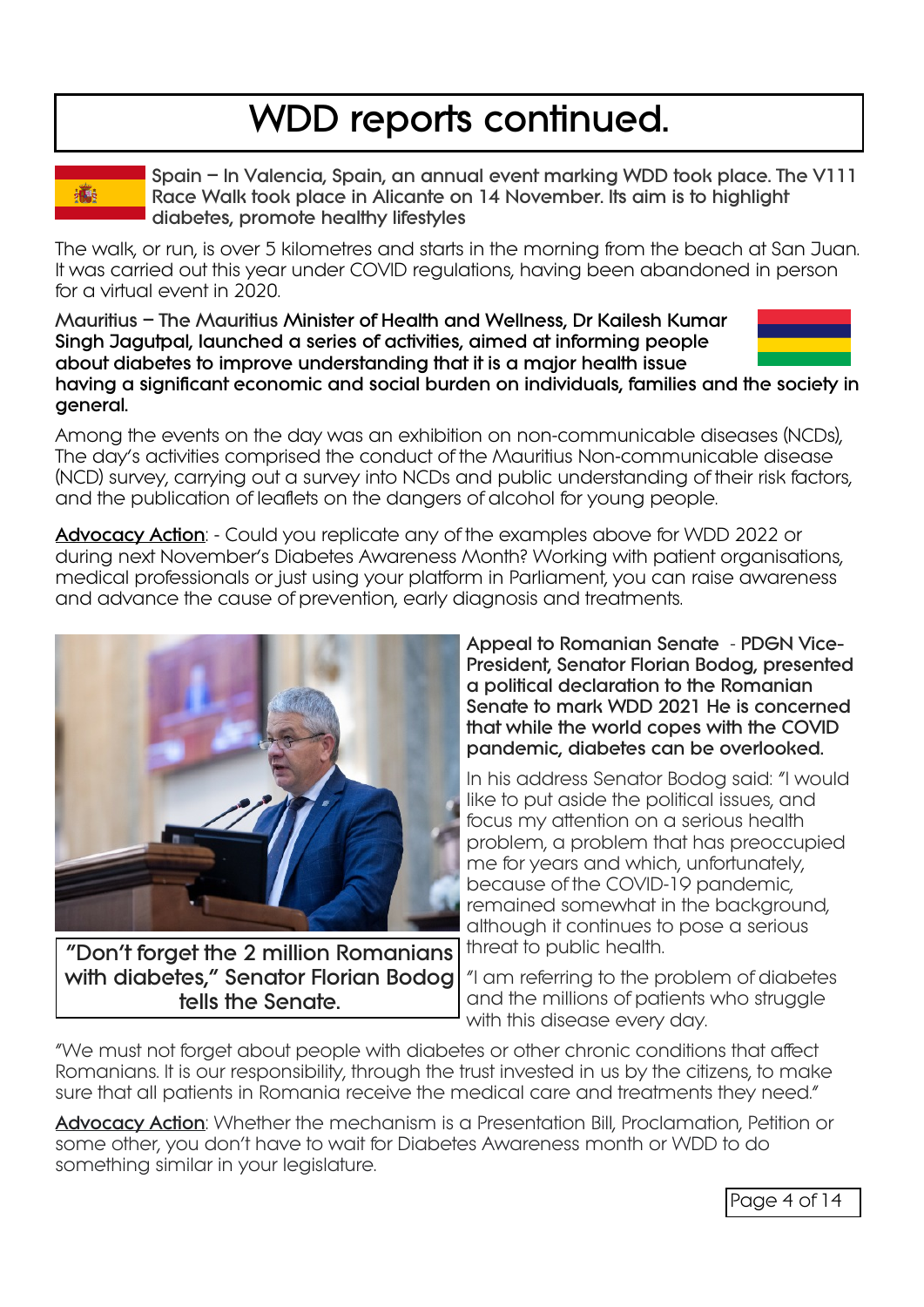## **WDD reports continued.**

灜

**Spain – In Valencia, Spain, an annual event marking WDD took place. The V111 Race Walk took place in Alicante on 14 November. Its aim is to highlight diabetes, promote healthy lifestyles**

The walk, or run, is over 5 kilometres and starts in the morning from the beach at San Juan. It was carried out this year under COVID regulations, having been abandoned in person for a virtual event in 2020.

**Mauritius – The Mauritius Minister of Health and Wellness, Dr Kailesh Kumar Singh Jagutpal, launched a series of activities, aimed at informing people about diabetes to improve understanding that it is a major health issue**



**having a significant economic and social burden on individuals, families and the society in general.**

Among the events on the day was an exhibition on non-communicable diseases (NCDs), The day's activities comprised the conduct of the Mauritius Non-communicable disease (NCD) survey, carrying out a survey into NCDs and public understanding of their risk factors, and the publication of leaflets on the dangers of alcohol for young people.

**Advocacy Action**: - Could you replicate any of the examples above for WDD 2022 or during next November's Diabetes Awareness Month? Working with patient organisations, medical professionals or just using your platform in Parliament, you can raise awareness and advance the cause of prevention, early diagnosis and treatments.



**"Don't forget the 2 million Romanians with diabetes," Senator Florian Bodog tells the Senate.**

**Appeal to Romanian Senate** - **PDGN Vice-President, Senator Florian Bodog, presented a political declaration to the Romanian Senate to mark WDD 2021 He is concerned that while the world copes with the COVID pandemic, diabetes can be overlooked.**

In his address Senator Bodog said: "I would like to put aside the political issues, and focus my attention on a serious health problem, a problem that has preoccupied me for years and which, unfortunately, because of the COVID-19 pandemic, remained somewhat in the background, although it continues to pose a serious threat to public health.

"I am referring to the problem of diabetes and the millions of patients who struggle with this disease every day.

"We must not forget about people with diabetes or other chronic conditions that affect Romanians. It is our responsibility, through the trust invested in us by the citizens, to make sure that all patients in Romania receive the medical care and treatments they need."

**Advocacy Action**: Whether the mechanism is a Presentation Bill, Proclamation, Petition or some other, you don't have to wait for Diabetes Awareness month or WDD to do something similar in your legislature.

Page 4 of 14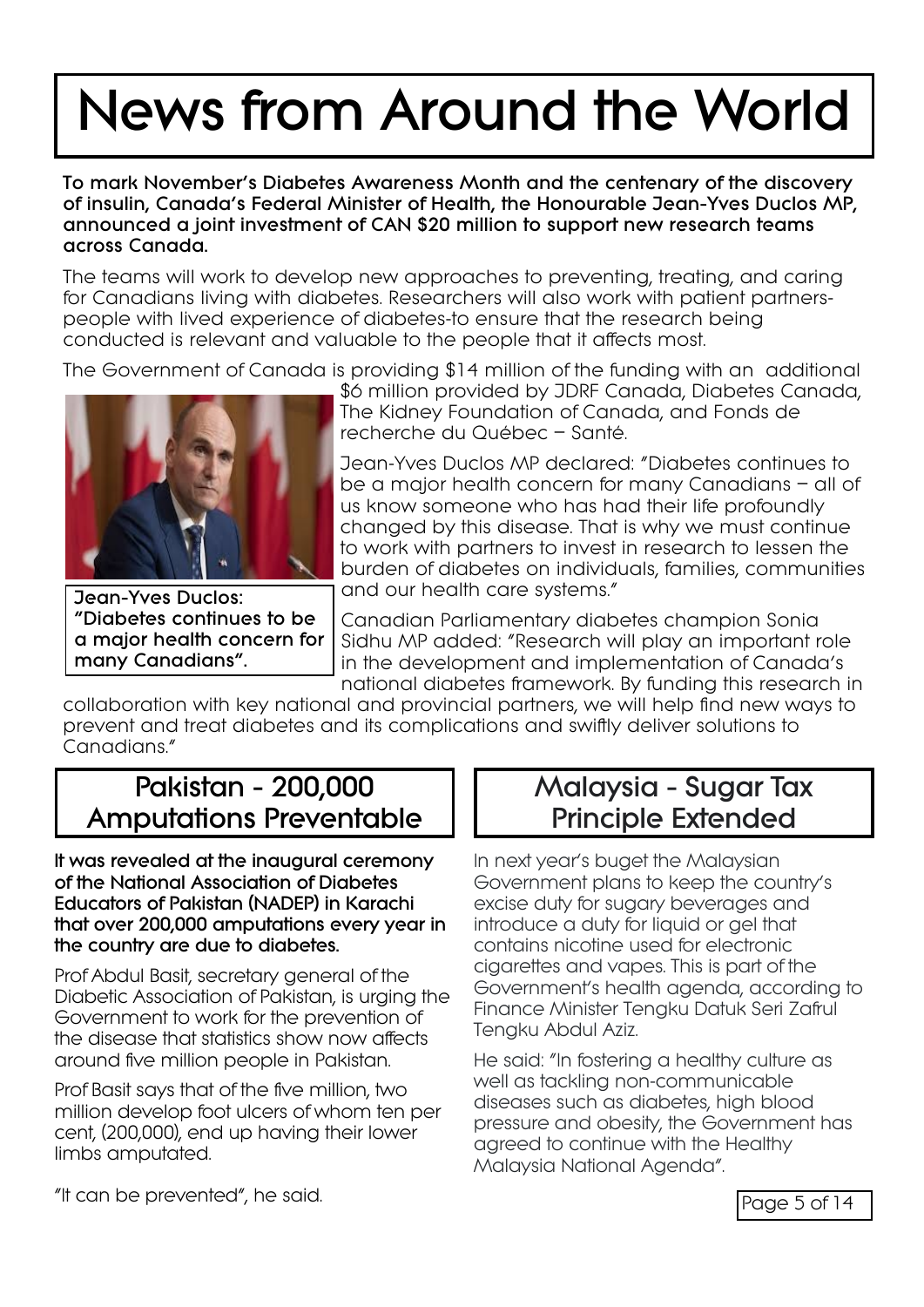# **News from Around the World**

**To mark November's Diabetes Awareness Month and the centenary of the discovery of insulin, Canada's Federal Minister of Health, the Honourable Jean-Yves Duclos MP, announced a joint investment of CAN \$20 million to support new research teams across Canada.**

The teams will work to develop new approaches to preventing, treating, and caring for Canadians living with diabetes. Researchers will also work with patient partnerspeople with lived experience of diabetes-to ensure that the research being conducted is relevant and valuable to the people that it affects most.

The Government of Canada is providing \$14 million of the funding with an additional



**Jean-Yves Duclos: "Diabetes continues to be a major health concern for many Canadians".**

\$6 million provided by JDRF Canada, Diabetes Canada, The Kidney Foundation of Canada, and Fonds de recherche du Québec – Santé.

Jean-Yves Duclos MP declared: "Diabetes continues to be a major health concern for many Canadians – all of us know someone who has had their life profoundly changed by this disease. That is why we must continue to work with partners to invest in research to lessen the burden of diabetes on individuals, families, communities and our health care systems."

Canadian Parliamentary diabetes champion Sonia Sidhu MP added: "Research will play an important role in the development and implementation of Canada's national diabetes framework. By funding this research in

collaboration with key national and provincial partners, we will help find new ways to prevent and treat diabetes and its complications and swiftly deliver solutions to Canadians."

#### **Pakistan - 200,000 Amputations Preventable**

**It was revealed at the inaugural ceremony of the National Association of Diabetes Educators of Pakistan (NADEP) in Karachi that over 200,000 amputations every year in the country are due to diabetes.**

Prof Abdul Basit, secretary general of the Diabetic Association of Pakistan, is urging the Government to work for the prevention of the disease that statistics show now affects around five million people in Pakistan.

Prof Basit says that of the five million, two million develop foot ulcers of whom ten per cent, (200,000), end up having their lower limbs amputated.

#### **Malaysia - Sugar Tax Principle Extended**

In next year's buget the Malaysian Government plans to keep the country's excise duty for sugary beverages and introduce a duty for liquid or gel that contains nicotine used for electronic cigarettes and vapes. This is part of the Government's health agenda, according to Finance Minister Tengku Datuk Seri Zafrul Tengku Abdul Aziz.

He said: "In fostering a healthy culture as well as tackling non-communicable diseases such as diabetes, high blood pressure and obesity, the Government has agreed to continue with the Healthy Malaysia National Agenda".

"It can be prevented", he said.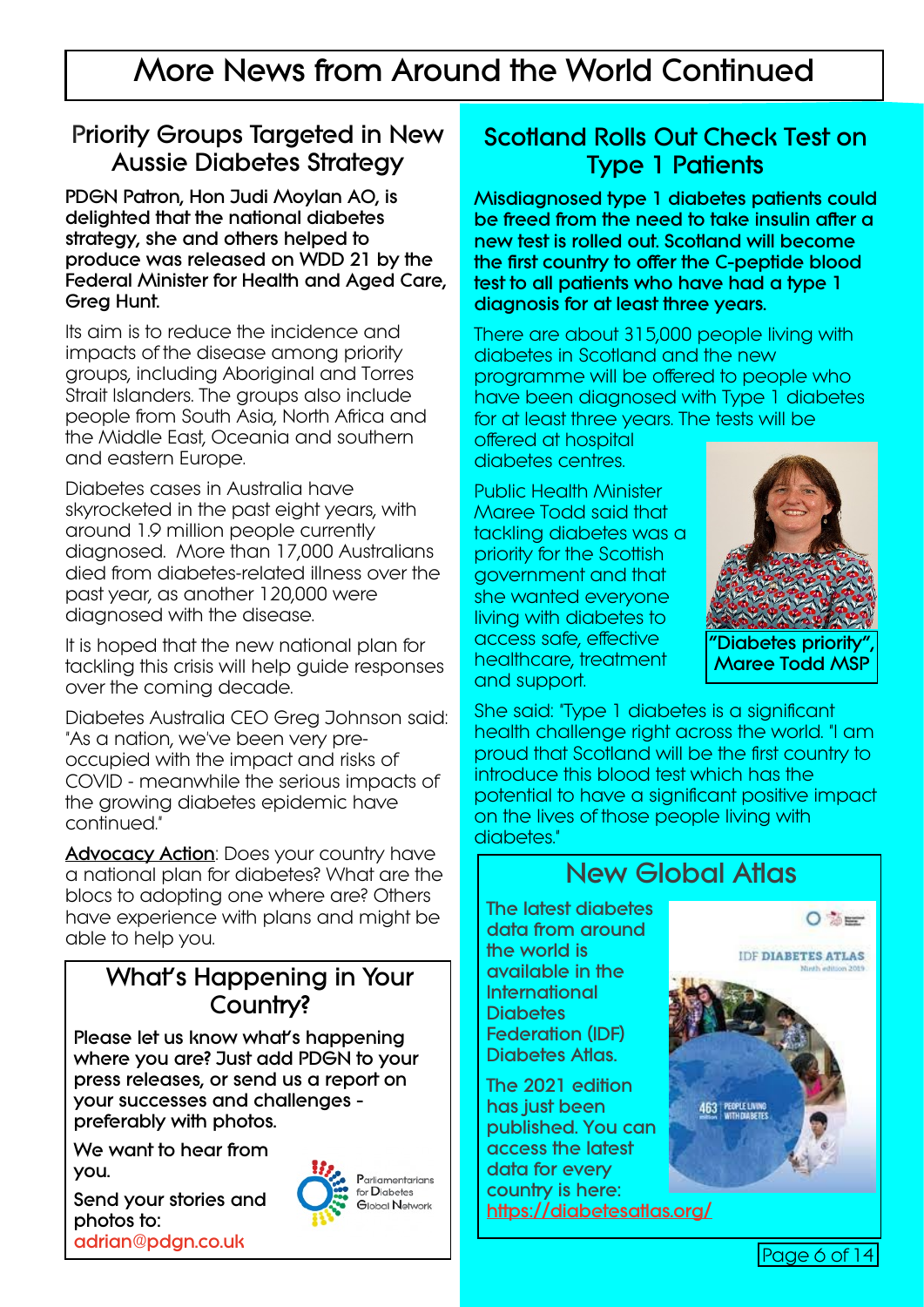### **More News from Around the World Continued**

#### **Priority Groups Targeted in New Aussie Diabetes Strategy**

**PDGN Patron, Hon Judi Moylan AO, is delighted that the national diabetes strategy, she and others helped to produce was released on WDD 21 by the Federal Minister for Health and Aged Care, Greg Hunt.**

Its aim is to reduce the incidence and impacts of the disease among priority groups, including Aboriginal and Torres Strait Islanders. The groups also include people from South Asia, North Africa and the Middle East, Oceania and southern and eastern Europe.

Diabetes cases in Australia have skyrocketed in the past eight years, with around 1.9 million people currently diagnosed. More than 17,000 Australians died from diabetes-related illness over the past year, as another 120,000 were diagnosed with the disease.

It is hoped that the new national plan for tackling this crisis will help guide responses over the coming decade.

Diabetes Australia CEO Greg Johnson said: "As a nation, we've been very preoccupied with the impact and risks of COVID - meanwhile the serious impacts of the growing diabetes epidemic have continued."

**Advocacy Action**: Does your country have a national plan for diabetes? What are the blocs to adopting one where are? Others have experience with plans and might be able to help you.

#### **What's Happening in Your Country?**

**Please let us know what's happening where you are? Just add PDGN to your press releases, or send us a report on your successes and challenges preferably with photos.**

**We want to hear from you.**

**Send your stories and photos to: <adrian@pdgn.co.uk>**



**Scotland Rolls Out Check Test on Type 1 Patients**

**Misdiagnosed type 1 diabetes patients could be freed from the need to take insulin after a new test is rolled out. Scotland will become the first country to offer the C-peptide blood test to all patients who have had a type 1 diagnosis for at least three years.**

There are about 315,000 people living with diabetes in Scotland and the new programme will be offered to people who have been diagnosed with Type 1 diabetes for at least three years. The tests will be

offered at hospital diabetes centres.

Public Health Minister Maree Todd said that tackling diabetes was a priority for the Scottish government and that she wanted everyone living with diabetes to access safe, effective healthcare, treatment and support.



She said: "Type 1 diabetes is a significant health challenge right across the world. "I am proud that Scotland will be the first country to introduce this blood test which has the potential to have a significant positive impact on the lives of those people living with diabetes<sup>"</sup>

# $O \gg r$ **IDE DIABETES ATLAS** 463 PEOPLE LIVING

**New Global Atlas**

**The latest diabetes data from around the world is available in the International Diabetes Federation (IDF) Diabetes Atlas.**

**The 2021 edition has just been published. You can access the latest data for every country is here: <https://diabetesatlas.org/>**

Page 6 of 14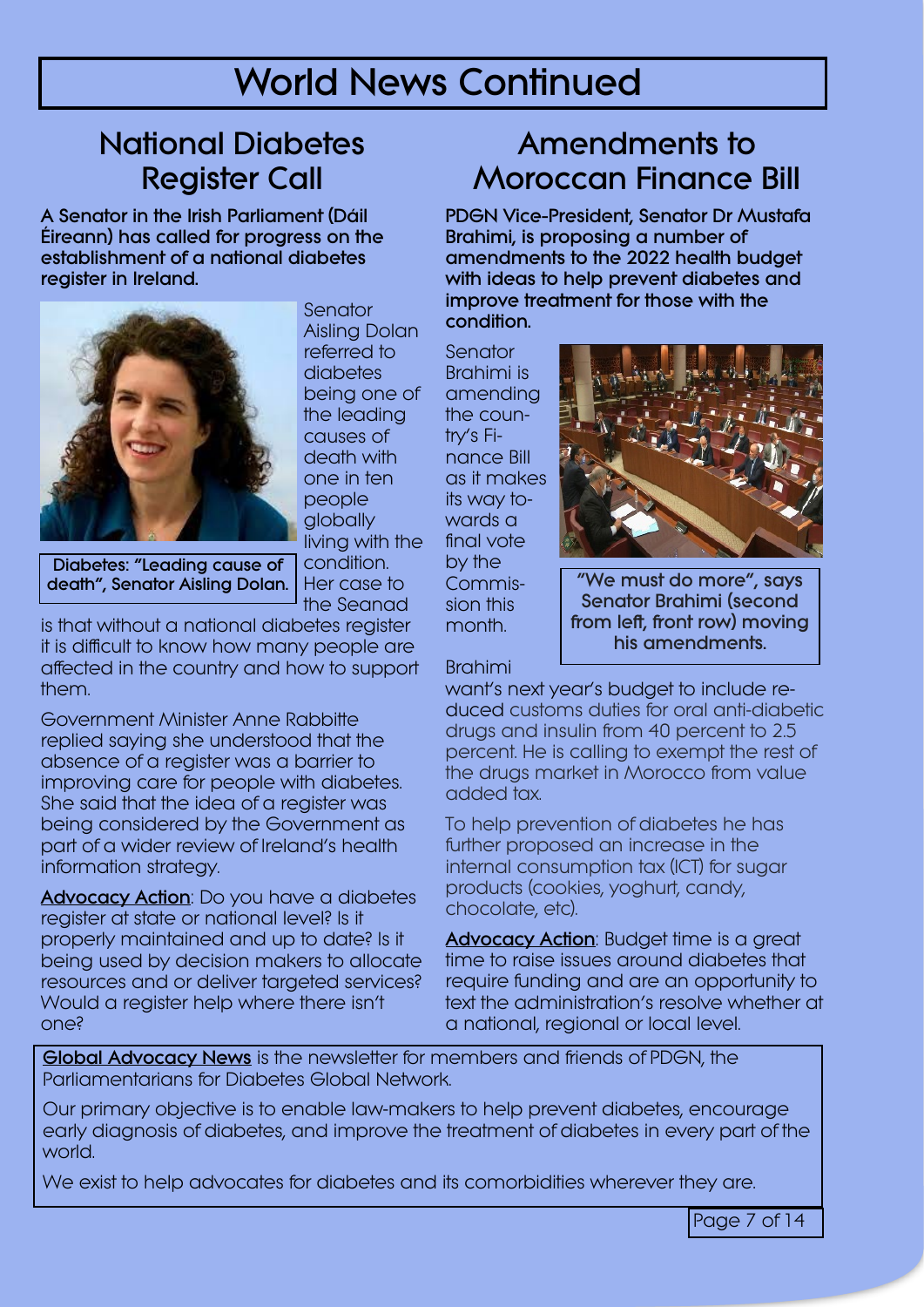### **World News Continued**

### **National Diabetes Register Call**

**A Senator in the Irish Parliament (Dáil Éireann) has called for progress on the establishment of a national diabetes register in Ireland.**



**Senator** Aisling Dolan referred to diabetes being one of the leading causes of death with one in ten people globally living with the condition. Her case to the Seanad

**Diabetes: "Leading cause of death", Senator Aisling Dolan.** Her case to commis- **We must do more", says** 

is that without a national diabetes register it is difficult to know how many people are affected in the country and how to support them.

Government Minister Anne Rabbitte replied saying she understood that the absence of a register was a barrier to improving care for people with diabetes. She said that the idea of a register was being considered by the Government as part of a wider review of Ireland's health information strategy.

**Advocacy Action**: Do you have a diabetes register at state or national level? Is it properly maintained and up to date? Is it being used by decision makers to allocate resources and or deliver targeted services? Would a register help where there isn't one?

### **Amendments to Moroccan Finance Bill**

**PDGN Vice-President, Senator Dr Mustafa Brahimi, is proposing a number of amendments to the 2022 health budget with ideas to help prevent diabetes and improve treatment for those with the condition.**

Senator Brahimi is amending the country's Finance Bill as it makes its way towards a final vote by the Commission this month.



**Senator Brahimi (second from left, front row) moving his amendments.**

Brahimi

want's next year's budget to include reduced customs duties for oral anti-diabetic drugs and insulin from 40 percent to 2.5 percent. He is calling to exempt the rest of the drugs market in Morocco from value added tax.

To help prevention of diabetes he has further proposed an increase in the internal consumption tax (ICT) for sugar products (cookies, yoghurt, candy, chocolate, etc).

**Advocacy Action**: Budget time is a great time to raise issues around diabetes that require funding and are an opportunity to text the administration's resolve whether at a national, regional or local level.

**Global Advocacy News** is the newsletter for members and friends of PDGN, the Parliamentarians for Diabetes Global Network.

Our primary objective is to enable law-makers to help prevent diabetes, encourage early diagnosis of diabetes, and improve the treatment of diabetes in every part of the world.

We exist to help advocates for diabetes and its comorbidities wherever they are.

Page 7 of 14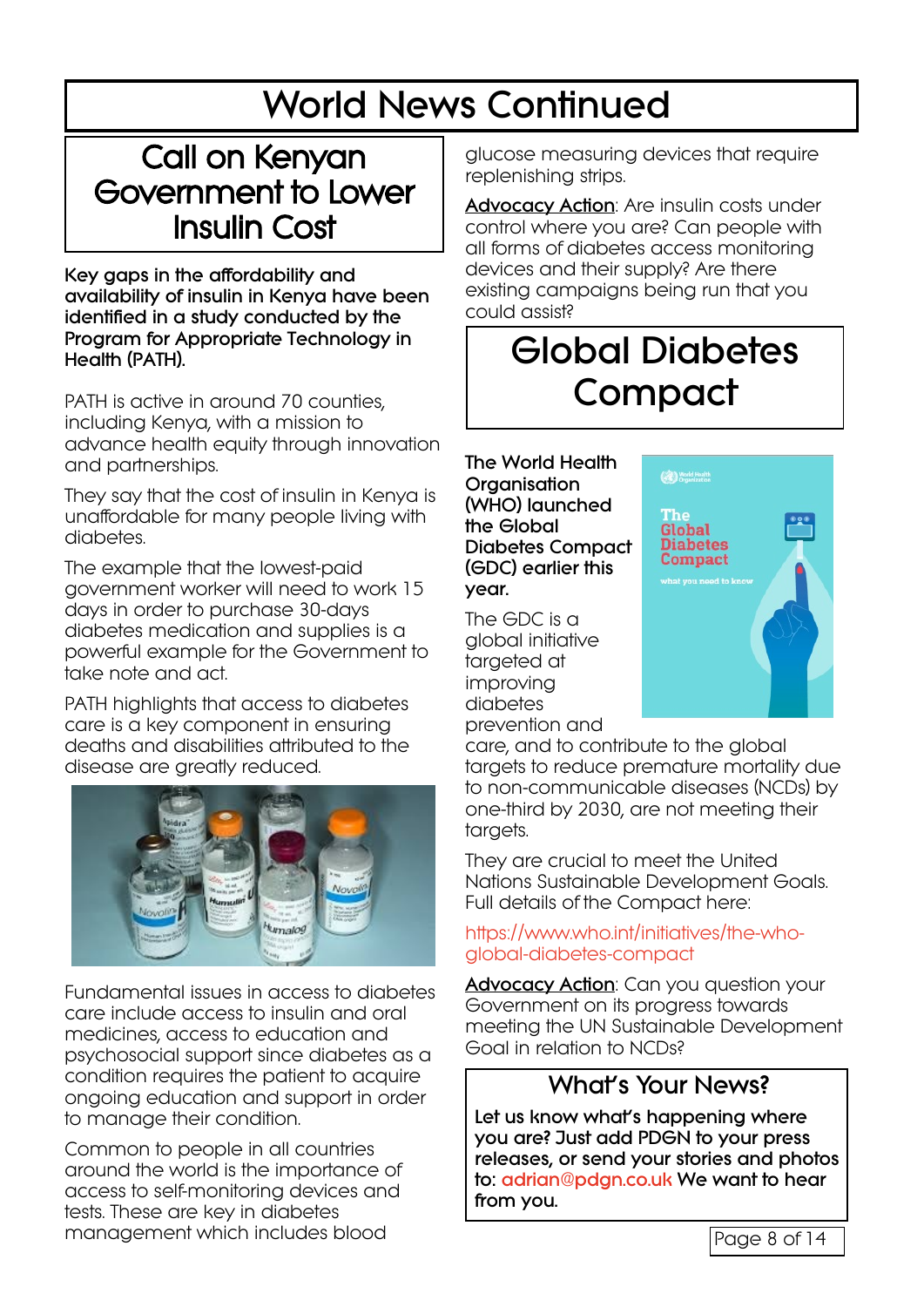# **World News Continued**

### Call on Kenyan Government to Lower Insulin Cost

**Key gaps in the affordability and availability of insulin in Kenya have been identified in a study conducted by the Program for Appropriate Technology in Health (PATH).**

PATH is active in around 70 counties, including Kenya, with a mission to advance health equity through innovation and partnerships.

They say that the cost of insulin in Kenya is unaffordable for many people living with diabetes.

The example that the lowest-paid government worker will need to work 15 days in order to purchase 30-days diabetes medication and supplies is a powerful example for the Government to take note and act.

PATH highlights that access to diabetes care is a key component in ensuring deaths and disabilities attributed to the disease are greatly reduced.



Fundamental issues in access to diabetes care include access to insulin and oral medicines, access to education and psychosocial support since diabetes as a condition requires the patient to acquire ongoing education and support in order to manage their condition.

Common to people in all countries around the world is the importance of access to self-monitoring devices and tests. These are key in diabetes management which includes blood

glucose measuring devices that require replenishing strips.

**Advocacy Action**: Are insulin costs under control where you are? Can people with all forms of diabetes access monitoring devices and their supply? Are there existing campaigns being run that you could assist?

### **Global Diabetes Compact**

**The World Health Organisation (WHO) launched the Global Diabetes Compact (GDC) earlier this year.**

The GDC is a global initiative targeted at improving diabetes prevention and



care, and to contribute to the global targets to reduce premature mortality due to non-communicable diseases (NCDs) by one-third by 2030, are not meeting their targets.

They are crucial to meet the United Nations Sustainable Development Goals. Full details of the Compact here:

[https://www.who.int/initiatives/the-who](https://www.who.int/initiatives/the-who-global-diabetes-compact)[global-diabetes-compact](https://www.who.int/initiatives/the-who-global-diabetes-compact)

**Advocacy Action**: Can you question your Government on its progress towards meeting the UN Sustainable Development Goal in relation to NCDs?

#### **What's Your News?**

**Let us know what's happening where you are? Just add PDGN to your press releases, or send your stories and photos to: [adrian@pdgn.co.uk](mailto:adrian@pdgn.co.uk) We want to hear from you.**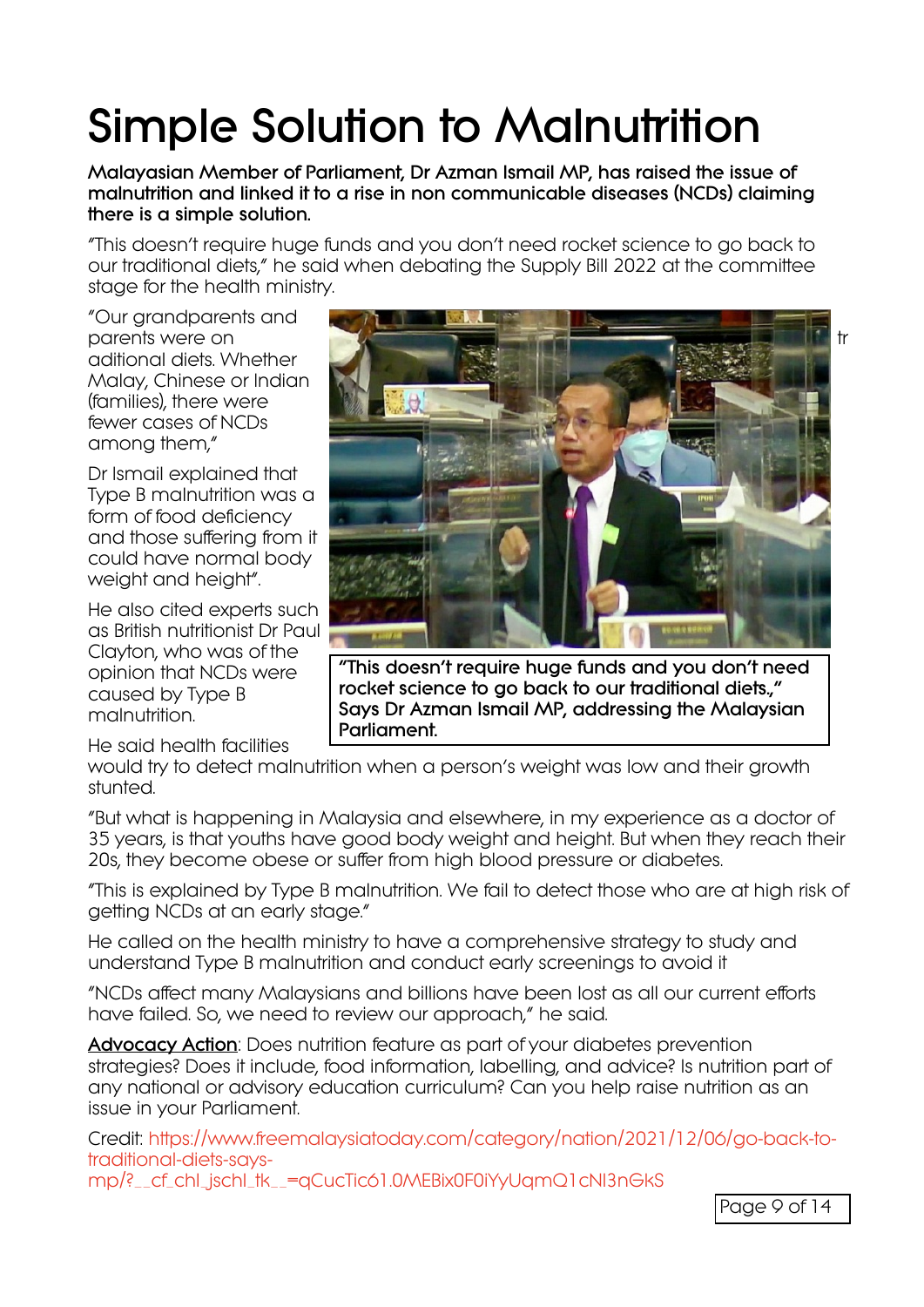# **Simple Solution to Malnutrition**

**Malayasian Member of Parliament, Dr Azman Ismail MP, has raised the issue of malnutrition and linked it to a rise in non communicable diseases (NCDs) claiming there is a simple solution.**

"This doesn't require huge funds and you don't need rocket science to go back to our traditional diets," he said when debating the Supply Bill 2022 at the committee stage for the health ministry.

"Our grandparents and aditional diets. Whether Malay, Chinese or Indian (families), there were fewer cases of NCDs among them,"

Dr Ismail explained that Type B malnutrition was a form of food deficiency and those suffering from it could have normal body weight and height".

He also cited experts such as British nutritionist Dr Paul Clayton, who was of the opinion that NCDs were caused by Type B malnutrition.

He said health facilities



**"This doesn't require huge funds and you don't need rocket science to go back to our traditional diets.," Says Dr Azman Ismail MP, addressing the Malaysian Parliament.**

would try to detect malnutrition when a person's weight was low and their growth stunted.

"But what is happening in Malaysia and elsewhere, in my experience as a doctor of 35 years, is that youths have good body weight and height. But when they reach their 20s, they become obese or suffer from high blood pressure or diabetes.

"This is explained by Type B malnutrition. We fail to detect those who are at high risk of getting NCDs at an early stage."

He called on the health ministry to have a comprehensive strategy to study and understand Type B malnutrition and conduct early screenings to avoid it

"NCDs affect many Malaysians and billions have been lost as all our current efforts have failed. So, we need to review our approach," he said.

**Advocacy Action**: Does nutrition feature as part of your diabetes prevention strategies? Does it include, food information, labelling, and advice? Is nutrition part of any national or advisory education curriculum? Can you help raise nutrition as an issue in your Parliament.

Credit: [https://www.freemalaysiatoday.com/category/nation/2021/12/06/go-back-to](https://www.freemalaysiatoday.com/category/nation/2021/12/06/go-back-to-traditional-diets-says-mp/?__cf_chl_jschl_tk__=qCucTic61.0MEBix0F0iYyUqmQ1cNl3nGkS)[traditional-diets-says-](https://www.freemalaysiatoday.com/category/nation/2021/12/06/go-back-to-traditional-diets-says-mp/?__cf_chl_jschl_tk__=qCucTic61.0MEBix0F0iYyUqmQ1cNl3nGkS)

[mp/?\\_\\_cf\\_chl\\_jschl\\_tk\\_\\_=qCucTic61.0MEBix0F0iYyUqmQ1cNl3nGkS](https://www.freemalaysiatoday.com/category/nation/2021/12/06/go-back-to-traditional-diets-says-mp/?__cf_chl_jschl_tk__=qCucTic61.0MEBix0F0iYyUqmQ1cNl3nGkS)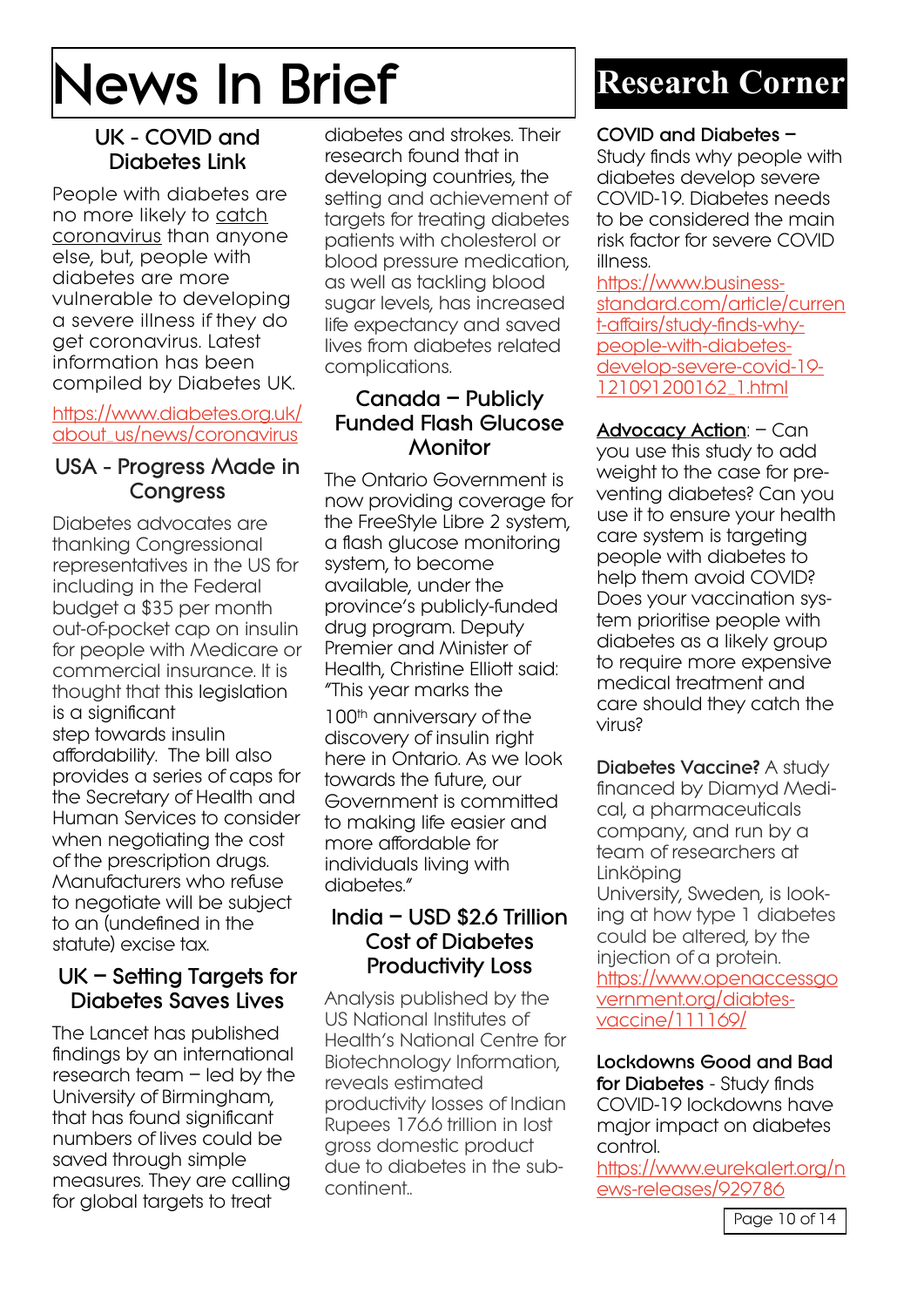# **News In Brief**

#### **UK - COVID and Diabetes Link**

People with diabetes are no more likely to catch coronavirus than anyone else, but, people with diabetes are more vulnerable to developing a severe illness if they do get coronavirus. Latest information has been compiled by Diabetes UK.

#### [https://www.diabetes.org.uk/](https://www.diabetes.org.uk/about_us/news/coronavirus) [about\\_us/news/coronavirus](https://www.diabetes.org.uk/about_us/news/coronavirus)

#### **USA - Progress Made in Congress**

Diabetes advocates are thanking Congressional representatives in the US for including in the Federal budget a \$35 per month out-of-pocket cap on insulin for people with Medicare or commercial insurance. It is thought that this legislation is a significant step towards insulin affordability. The bill also provides a series of caps for the Secretary of Health and Human Services to consider when negotiating the cost of the prescription drugs. Manufacturers who refuse to negotiate will be subject to an (undefined in the statute) excise tax.

#### **UK – Setting Targets for Diabetes Saves Lives**

The Lancet has published findings by an international research team – led by the University of Birmingham, that has found significant numbers of lives could be saved through simple measures. They are calling for global targets to treat

diabetes and strokes. Their research found that in developing countries, the setting and achievement of targets for treating diabetes patients with cholesterol or blood pressure medication, as well as tackling blood sugar levels, has increased life expectancy and saved lives from diabetes related complications.

#### **Canada – Publicly Funded Flash Glucose Monitor**

The Ontario Government is now providing coverage for the FreeStyle Libre 2 system, a flash glucose monitoring system, to become available, under the province's publicly-funded drug program. Deputy Premier and Minister of Health, Christine Elliott said: "This year marks the

100<sup>th</sup> anniversary of the discovery of insulin right here in Ontario. As we look towards the future, our Government is committed to making life easier and more affordable for individuals living with diabetes."

#### **India – USD \$2.6 Trillion Cost of Diabetes Productivity Loss**

Analysis published by the US National Institutes of Health's National Centre for Biotechnology Information, reveals estimated productivity losses of Indian Rupees 176.6 trillion in lost gross domestic product due to diabetes in the subcontinent..

### **Research Corner**

#### **COVID and Diabetes –**

Study finds why people with diabetes develop severe COVID-19. Diabetes needs to be considered the main risk factor for severe COVID illness.

[https://www.business](https://www.business-standard.com/article/current-affairs/study-finds-why-people-with-diabetes-develop-severe-covid-19-121091200162_1.html)[standard.com/article/curren](https://www.business-standard.com/article/current-affairs/study-finds-why-people-with-diabetes-develop-severe-covid-19-121091200162_1.html) [t-affairs/study-finds-why](https://www.business-standard.com/article/current-affairs/study-finds-why-people-with-diabetes-develop-severe-covid-19-121091200162_1.html)[people-with-diabetes](https://www.business-standard.com/article/current-affairs/study-finds-why-people-with-diabetes-develop-severe-covid-19-121091200162_1.html)[develop-severe-covid-19-](https://www.business-standard.com/article/current-affairs/study-finds-why-people-with-diabetes-develop-severe-covid-19-121091200162_1.html) [121091200162\\_1.html](https://www.business-standard.com/article/current-affairs/study-finds-why-people-with-diabetes-develop-severe-covid-19-121091200162_1.html)

**Advocacy Action**: – Can you use this study to add weight to the case for preventing diabetes? Can you use it to ensure your health care system is targeting people with diabetes to help them avoid COVID? Does your vaccination system prioritise people with diabetes as a likely group to require more expensive medical treatment and care should they catch the virus?

**Diabetes Vaccine?** A study financed by Diamyd Medical, a pharmaceuticals company, and run by a team of researchers at Linköping University, Sweden, is looking at how type 1 diabetes could be altered, by the injection of a protein. [https://www.openaccessgo](https://www.openaccessgovernment.org/diabtes-vaccine/111169/) [vernment.org/diabtes](https://www.openaccessgovernment.org/diabtes-vaccine/111169/)[vaccine/111169/](https://www.openaccessgovernment.org/diabtes-vaccine/111169/)

**Lockdowns Good and Bad for Diabetes** - Study finds COVID-19 lockdowns have major impact on diabetes control.

[https://www.eurekalert.org/n](https://www.eurekalert.org/news-releases/929786) [ews-releases/929786](https://www.eurekalert.org/news-releases/929786)

Page 10 of 14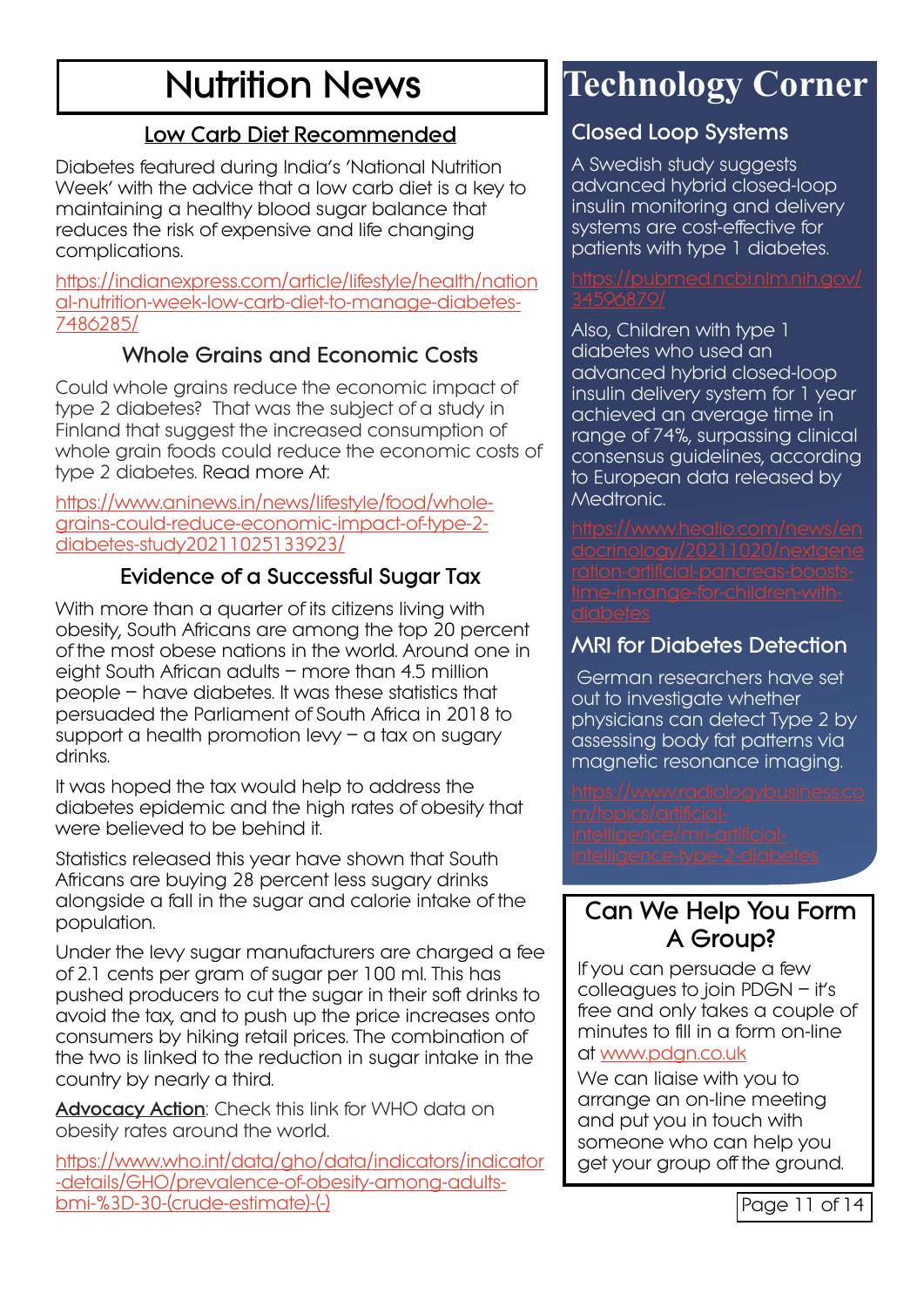## **Nutrition News**

#### **Low Carb Diet Recommended**

Diabetes featured during India's 'National Nutrition Week' with the advice that a low carb diet is a key to maintaining a healthy blood sugar balance that reduces the risk of expensive and life changing complications.

[https://indianexpress.com/article/lifestyle/health/nation](https://indianexpress.com/article/lifestyle/health/national-nutrition-week-low-carb-diet-to-manage-diabetes-7486285/) [al-nutrition-week-low-carb-diet-to-manage-diabetes-](https://indianexpress.com/article/lifestyle/health/national-nutrition-week-low-carb-diet-to-manage-diabetes-7486285/)[7486285/](https://indianexpress.com/article/lifestyle/health/national-nutrition-week-low-carb-diet-to-manage-diabetes-7486285/)

#### **Whole Grains and Economic Costs**

Could whole grains reduce the economic impact of type 2 diabetes? That was the subject of a study in Finland that suggest the increased consumption of whole grain foods could reduce the economic costs of type 2 diabetes. Read more At:

[https://www.aninews.in/news/lifestyle/food/whole](https://www.aninews.in/news/lifestyle/food/whole-grains-could-reduce-economic-impact-of-type-2-diabetes-study20211025133923/)[grains-could-reduce-economic-impact-of-type-2](https://www.aninews.in/news/lifestyle/food/whole-grains-could-reduce-economic-impact-of-type-2-diabetes-study20211025133923/) [diabetes-study20211025133923/](https://www.aninews.in/news/lifestyle/food/whole-grains-could-reduce-economic-impact-of-type-2-diabetes-study20211025133923/)

#### **Evidence of a Successful Sugar Tax**

With more than a quarter of its citizens living with obesity, South Africans are among the top 20 percent of the most obese nations in the world. Around one in eight South African adults – more than 4.5 million people – have diabetes. It was these statistics that persuaded the Parliament of South Africa in 2018 to support a health promotion levy  $-$  a tax on sugary drinks.

It was hoped the tax would help to address the diabetes epidemic and the high rates of obesity that were believed to be behind it.

Statistics released this year have shown that South Africans are buying 28 percent less sugary drinks alongside a fall in the sugar and calorie intake of the population.

Under the levy sugar manufacturers are charged a fee of 2.1 cents per gram of sugar per 100 ml. This has pushed producers to cut the sugar in their soft drinks to avoid the tax, and to push up the price increases onto consumers by hiking retail prices. The combination of the two is linked to the reduction in sugar intake in the country by nearly a third.

**Advocacy Action**: Check this link for WHO data on obesity rates around the world.

[https://www.who.int/data/gho/data/indicators/indicator](https://www.who.int/data/gho/data/indicators/indicator-details/GHO/prevalence-of-obesity-among-adults-bmi-%3D-30-(crude-estimate)-(-)) [-details/GHO/prevalence-of-obesity-among-adults](https://www.who.int/data/gho/data/indicators/indicator-details/GHO/prevalence-of-obesity-among-adults-bmi-%3D-30-(crude-estimate)-(-))[bmi-%3D-30-\(crude-estimate\)-\(-\)](https://www.who.int/data/gho/data/indicators/indicator-details/GHO/prevalence-of-obesity-among-adults-bmi-%3D-30-(crude-estimate)-(-))

### **Technology Corner**

#### **Closed Loop Systems**

A Swedish study suggests advanced hybrid closed-loop insulin monitoring and delivery systems are cost-effective for patients with type 1 diabetes.

Also, Children with type 1 diabetes who used an advanced hybrid closed-loop insulin delivery system for 1 year achieved an average time in range of 74%, surpassing clinical consensus guidelines, according to European data released by Medtronic.

#### **MRI for Diabetes Detection**

 German researchers have set out to investigate whether physicians can detect Type 2 by assessing body fat patterns via magnetic resonance imaging.

#### **Can We Help You Form A Group?**

If you can persuade a few colleagues to join PDGN – it's free and only takes a couple of minutes to fill in a form on-line at [www.pdgn.co.uk](www.pdgn.co.uk )

We can liaise with you to arrange an on-line meeting and put you in touch with someone who can help you get your group off the ground.

Page 11 of 14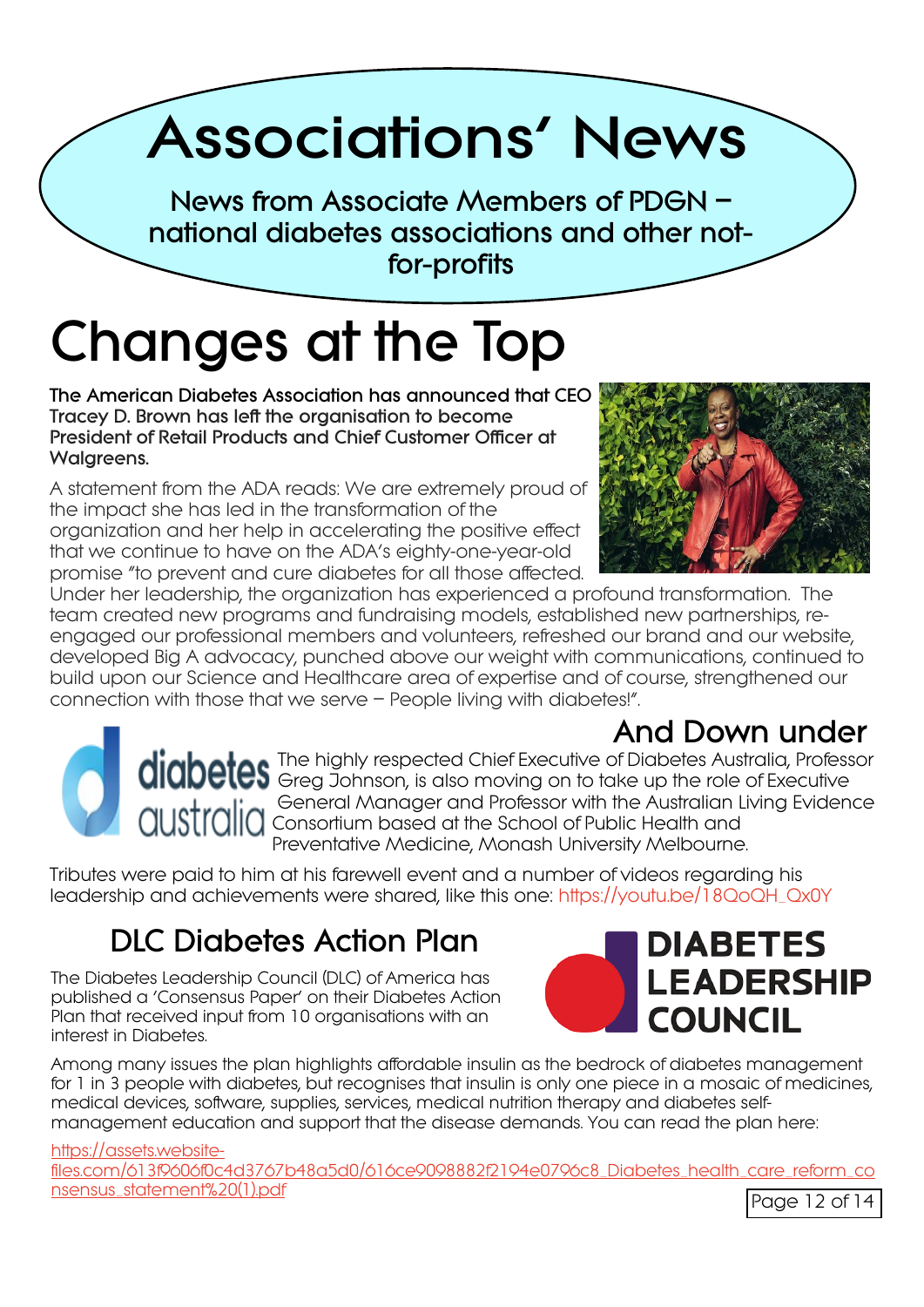# **Associations' News**

**News from Associate Members of PDGN – national diabetes associations and other notfor-profits**

# **Changes at the Top**

**The American Diabetes Association has announced that CEO Tracey D. Brown has left the organisation to become President of Retail Products and Chief Customer Officer at Walgreens.**

A statement from the ADA reads: We are extremely proud of the impact she has led in the transformation of the organization and her help in accelerating the positive effect that we continue to have on the ADA's eighty-one-year-old promise "to prevent and cure diabetes for all those affected.



Under her leadership, the organization has experienced a profound transformation. The team created new programs and fundraising models, established new partnerships, reengaged our professional members and volunteers, refreshed our brand and our website, developed Big A advocacy, punched above our weight with communications, continued to build upon our Science and Healthcare area of expertise and of course, strengthened our connection with those that we serve – People living with diabetes!".

### **And Down under**

The highly respected Chief Executive of Diabetes Australia, Professor Greg Johnson, is also moving on to take up the role of Executive General Manager and Professor with the Australian Living Evidence Consortium based at the School of Public Health and Preventative Medicine, Monash University Melbourne.

Tributes were paid to him at his farewell event and a number of videos regarding his leadership and achievements were shared, like this one: [https://youtu.be/18QoQH\\_Qx0Y](https://youtu.be/18QoQH_Qx0Y)

### **DLC Diabetes Action Plan**

The Diabetes Leadership Council (DLC) of America has published a 'Consensus Paper' on their Diabetes Action Plan that received input from 10 organisations with an interest in Diabetes.



Among many issues the plan highlights affordable insulin as the bedrock of diabetes management for 1 in 3 people with diabetes, but recognises that insulin is only one piece in a mosaic of medicines, medical devices, software, supplies, services, medical nutrition therapy and diabetes selfmanagement education and support that the disease demands. You can read the plan here:

[https://assets.website-](https://assets.website-files.com/613f9606f0c4d3767b48a5d0/616ce9098882f2194e0796c8_Diabetes_health_care_reform_consensus_statement%20(1).pdf)

[files.com/613f9606f0c4d3767b48a5d0/616ce9098882f2194e0796c8\\_Diabetes\\_health\\_care\\_reform\\_co](https://assets.website-files.com/613f9606f0c4d3767b48a5d0/616ce9098882f2194e0796c8_Diabetes_health_care_reform_consensus_statement%20(1).pdf) [nsensus\\_statement%20\(1\).pdf](https://assets.website-files.com/613f9606f0c4d3767b48a5d0/616ce9098882f2194e0796c8_Diabetes_health_care_reform_consensus_statement%20(1).pdf)<br>
Page 12 of 14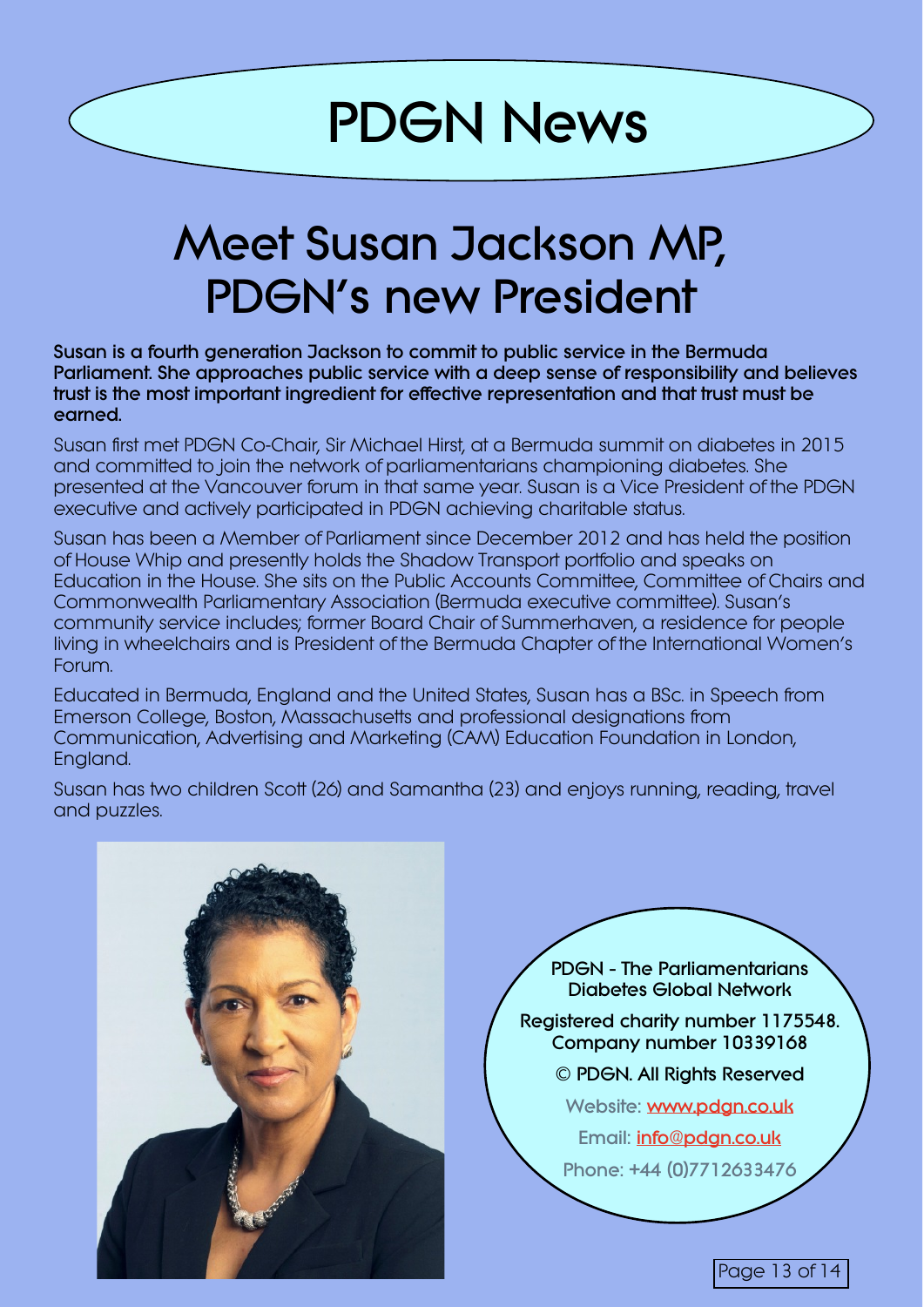# **PDGN News**

# **Meet Susan Jackson MP, PDGN's new President**

**Susan is a fourth generation Jackson to commit to public service in the Bermuda Parliament. She approaches public service with a deep sense of responsibility and believes trust is the most important ingredient for effective representation and that trust must be earned.**

Susan first met PDGN Co-Chair, Sir Michael Hirst, at a Bermuda summit on diabetes in 2015 and committed to join the network of parliamentarians championing diabetes. She presented at the Vancouver forum in that same year. Susan is a Vice President of the PDGN executive and actively participated in PDGN achieving charitable status.

Susan has been a Member of Parliament since December 2012 and has held the position of House Whip and presently holds the Shadow Transport portfolio and speaks on Education in the House. She sits on the Public Accounts Committee, Committee of Chairs and Commonwealth Parliamentary Association (Bermuda executive committee). Susan's community service includes; former Board Chair of Summerhaven, a residence for people living in wheelchairs and is President of the Bermuda Chapter of the International Women's Forum.

Educated in Bermuda, England and the United States, Susan has a BSc. in Speech from Emerson College, Boston, Massachusetts and professional designations from Communication, Advertising and Marketing (CAM) Education Foundation in London, England.

Susan has two children Scott (26) and Samantha (23) and enjoys running, reading, travel and puzzles.